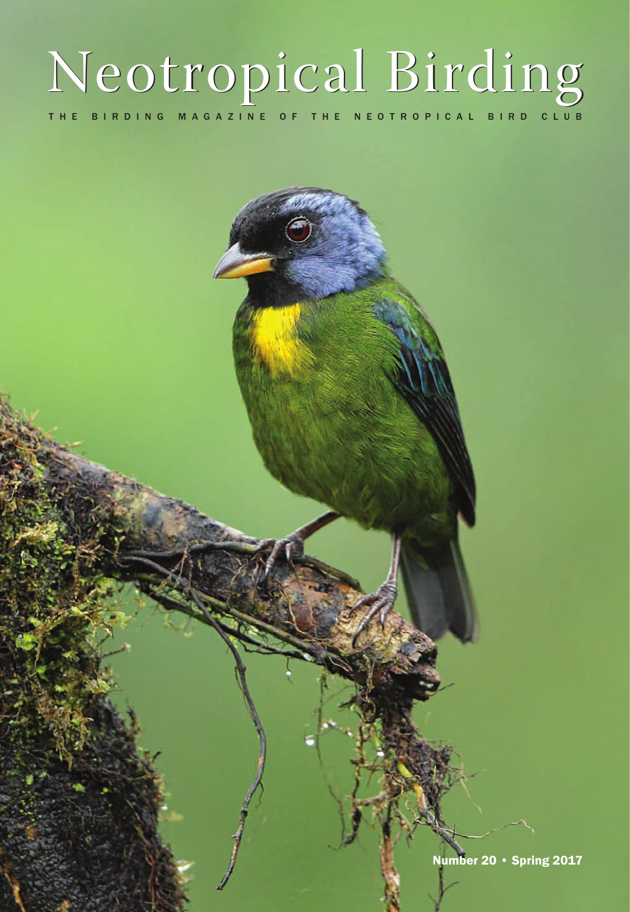## THE BIRDING MAGAZINE OF THE NEOTROPICAL BIRD CLUB Neotropical Birding

Number 20 • Spring 2017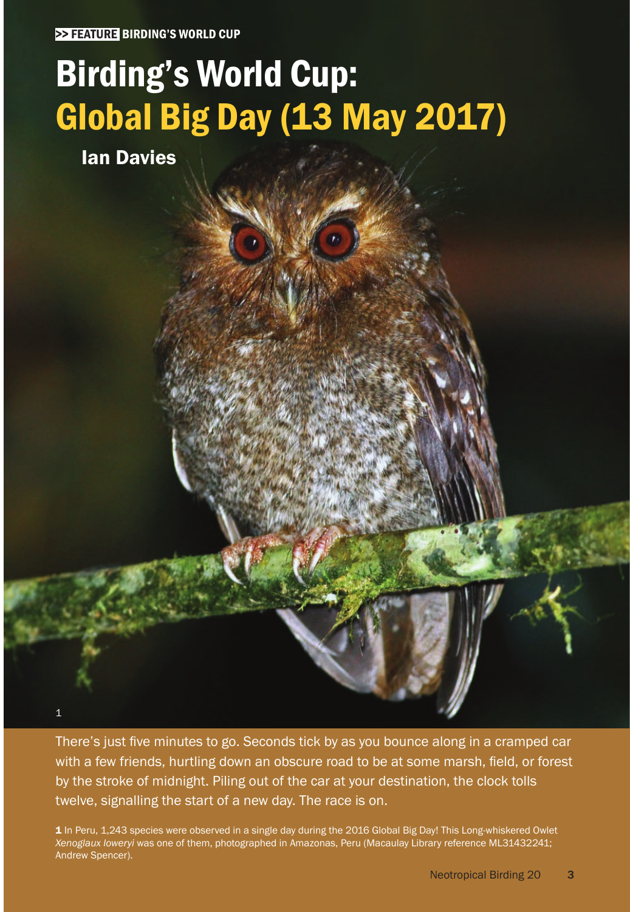# Birding's World Cup: Global Big Day (13 May 2017)

Ian Davies

1

There's just five minutes to go. Seconds tick by as you bounce along in a cramped car with a few friends, hurtling down an obscure road to be at some marsh, field, or forest by the stroke of midnight. Piling out of the car at your destination, the clock tolls twelve, signalling the start of a new day. The race is on.

1 In Peru, 1,243 species were observed in a single day during the 2016 Global Big Day! This Long-whiskered Owlet *Xenoglaux loweryi* was one of them, photographed in Amazonas, Peru (Macaulay Library reference ML31432241; Andrew Spencer).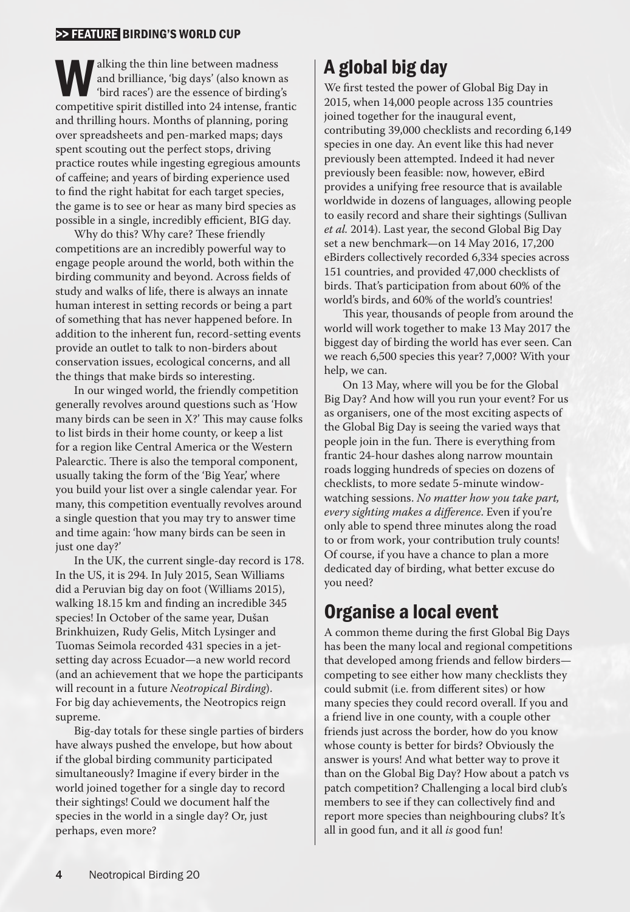### >> FEATURE BIRDING'S WORLD CUP

and brilliance, 'big days' (also known and brilliance, 'big days' (also known and brilliance, 'big days' (also known and bridling competitive spirit distilled into 24 intense, fram and brilliance, 'big days' (also known as 'bird races') are the essence of birding's competitive spirit distilled into 24 intense, frantic and thrilling hours. Months of planning, poring over spreadsheets and pen-marked maps; days spent scouting out the perfect stops, driving practice routes while ingesting egregious amounts of caffeine; and years of birding experience used to find the right habitat for each target species, the game is to see or hear as many bird species as possible in a single, incredibly efficient, BIG day.

Why do this? Why care? These friendly competitions are an incredibly powerful way to engage people around the world, both within the birding community and beyond. Across fields of study and walks of life, there is always an innate human interest in setting records or being a part of something that has never happened before. In addition to the inherent fun, record-setting events provide an outlet to talk to non-birders about conservation issues, ecological concerns, and all the things that make birds so interesting.

In our winged world, the friendly competition generally revolves around questions such as 'How many birds can be seen in X?' This may cause folks to list birds in their home county, or keep a list for a region like Central America or the Western Palearctic. There is also the temporal component, usually taking the form of the 'Big Year,' where you build your list over a single calendar year. For many, this competition eventually revolves around a single question that you may try to answer time and time again: 'how many birds can be seen in just one day?'

In the UK, the current single-day record is 178. In the US, it is 294. In July 2015, Sean Williams did a Peruvian big day on foot (Williams 2015), walking 18.15 km and finding an incredible 345 species! In October of the same year, Dušan Brinkhuizen, Rudy Gelis, Mitch Lysinger and Tuomas Seimola recorded 431 species in a jetsetting day across Ecuador—a new world record (and an achievement that we hope the participants will recount in a future *Neotropical Birding*). For big day achievements, the Neotropics reign supreme.

Big-day totals for these single parties of birders have always pushed the envelope, but how about if the global birding community participated simultaneously? Imagine if every birder in the world joined together for a single day to record their sightings! Could we document half the species in the world in a single day? Or, just perhaps, even more?

## A global big day

We first tested the power of Global Big Day in 2015, when 14,000 people across 135 countries joined together for the inaugural event, contributing 39,000 checklists and recording 6,149 species in one day. An event like this had never previously been attempted. Indeed it had never previously been feasible: now, however, eBird provides a unifying free resource that is available worldwide in dozens of languages, allowing people to easily record and share their sightings (Sullivan *et al.* 2014). Last year, the second Global Big Day set a new benchmark—on 14 May 2016, 17,200 eBirders collectively recorded 6,334 species across 151 countries, and provided 47,000 checklists of birds. That's participation from about 60% of the world's birds, and 60% of the world's countries!

This year, thousands of people from around the world will work together to make 13 May 2017 the biggest day of birding the world has ever seen. Can we reach 6,500 species this year? 7,000? With your help, we can.

On 13 May, where will you be for the Global Big Day? And how will you run your event? For us as organisers, one of the most exciting aspects of the Global Big Day is seeing the varied ways that people join in the fun. There is everything from frantic 24-hour dashes along narrow mountain roads logging hundreds of species on dozens of checklists, to more sedate 5-minute windowwatching sessions. *No matter how you take part, every sighting makes a difference*. Even if you're only able to spend three minutes along the road to or from work, your contribution truly counts! Of course, if you have a chance to plan a more dedicated day of birding, what better excuse do you need?

## Organise a local event

A common theme during the first Global Big Days has been the many local and regional competitions that developed among friends and fellow birders competing to see either how many checklists they could submit (i.e. from different sites) or how many species they could record overall. If you and a friend live in one county, with a couple other friends just across the border, how do you know whose county is better for birds? Obviously the answer is yours! And what better way to prove it than on the Global Big Day? How about a patch vs patch competition? Challenging a local bird club's members to see if they can collectively find and report more species than neighbouring clubs? It's all in good fun, and it all *is* good fun!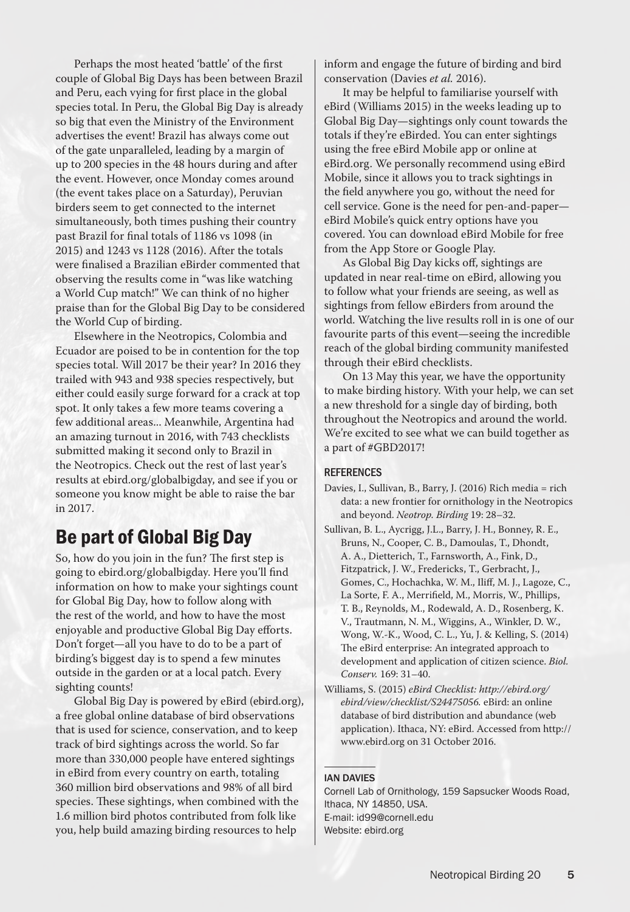Perhaps the most heated 'battle' of the first couple of Global Big Days has been between Brazil and Peru, each vying for first place in the global species total. In Peru, the Global Big Day is already so big that even the Ministry of the Environment advertises the event! Brazil has always come out of the gate unparalleled, leading by a margin of up to 200 species in the 48 hours during and after the event. However, once Monday comes around (the event takes place on a Saturday), Peruvian birders seem to get connected to the internet simultaneously, both times pushing their country past Brazil for final totals of 1186 vs 1098 (in 2015) and 1243 vs 1128 (2016). After the totals were finalised a Brazilian eBirder commented that observing the results come in "was like watching a World Cup match!" We can think of no higher praise than for the Global Big Day to be considered the World Cup of birding.

Elsewhere in the Neotropics, Colombia and Ecuador are poised to be in contention for the top species total. Will 2017 be their year? In 2016 they trailed with 943 and 938 species respectively, but either could easily surge forward for a crack at top spot. It only takes a few more teams covering a few additional areas... Meanwhile, Argentina had an amazing turnout in 2016, with 743 checklists submitted making it second only to Brazil in the Neotropics. Check out the rest of last year's results at ebird.org/globalbigday, and see if you or someone you know might be able to raise the bar in 2017.

## Be part of Global Big Day

So, how do you join in the fun? The first step is going to ebird.org/globalbigday. Here you'll find information on how to make your sightings count for Global Big Day, how to follow along with the rest of the world, and how to have the most enjoyable and productive Global Big Day efforts. Don't forget—all you have to do to be a part of birding's biggest day is to spend a few minutes outside in the garden or at a local patch. Every sighting counts!

Global Big Day is powered by eBird (ebird.org), a free global online database of bird observations that is used for science, conservation, and to keep track of bird sightings across the world. So far more than 330,000 people have entered sightings in eBird from every country on earth, totaling 360 million bird observations and 98% of all bird species. These sightings, when combined with the 1.6 million bird photos contributed from folk like you, help build amazing birding resources to help

inform and engage the future of birding and bird conservation (Davies *et al.* 2016).

It may be helpful to familiarise yourself with eBird (Williams 2015) in the weeks leading up to Global Big Day—sightings only count towards the totals if they're eBirded. You can enter sightings using the free eBird Mobile app or online at eBird.org. We personally recommend using eBird Mobile, since it allows you to track sightings in the field anywhere you go, without the need for cell service. Gone is the need for pen-and-paper eBird Mobile's quick entry options have you covered. You can download eBird Mobile for free from the App Store or Google Play.

As Global Big Day kicks off, sightings are updated in near real-time on eBird, allowing you to follow what your friends are seeing, as well as sightings from fellow eBirders from around the world. Watching the live results roll in is one of our favourite parts of this event—seeing the incredible reach of the global birding community manifested through their eBird checklists.

On 13 May this year, we have the opportunity to make birding history. With your help, we can set a new threshold for a single day of birding, both throughout the Neotropics and around the world. We're excited to see what we can build together as a part of #GBD2017!

#### **REFERENCES**

- Davies, I., Sullivan, B., Barry, J. (2016) Rich media = rich data: a new frontier for ornithology in the Neotropics and beyond. *Neotrop. Birding* 19: 28–32.
- Sullivan, B. L., Aycrigg, J.L., Barry, J. H., Bonney, R. E., Bruns, N., Cooper, C. B., Damoulas, T., Dhondt, A. A., Dietterich, T., Farnsworth, A., Fink, D., Fitzpatrick, J. W., Fredericks, T., Gerbracht, J., Gomes, C., Hochachka, W. M., Iliff, M. J., Lagoze, C., La Sorte, F. A., Merrifield, M., Morris, W., Phillips, T. B., Reynolds, M., Rodewald, A. D., Rosenberg, K. V., Trautmann, N. M., Wiggins, A., Winkler, D. W., Wong, W.-K., Wood, C. L., Yu, J. & Kelling, S. (2014) The eBird enterprise: An integrated approach to development and application of citizen science. *Biol. Conserv.* 169: 31–40.
- Williams, S. (2015) *eBird Checklist: http://ebird.org/ ebird/view/checklist/S24475056.* eBird: an online database of bird distribution and abundance (web application). Ithaca, NY: eBird. Accessed from http:// www.ebird.org on 31 October 2016.

#### IAN DAVIES

Cornell Lab of Ornithology, 159 Sapsucker Woods Road, Ithaca, NY 14850, USA. E-mail: id99@cornell.edu Website: ebird.org